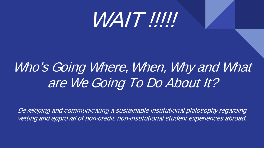

## Who's Going Where, When, Why and What are We Going To Do About It?

Developing and communicating a sustainable institutional philosophy regarding vetting and approval of non-credit, non-institutional student experiences abroad.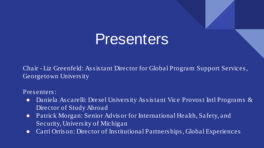## Presenters

Chair - Liz Greenfeld: Assistant Director for Global Program Support Services, Georgetown University

Presenters:

- Daniela Ascarelli: Drexel University Assistant Vice Provost Intl Programs & Director of Study Abroad
- Patrick Morgan: Senior Advisor for International Health, Safety, and Security, University of Michigan
- Carri Orrison: Director of Institutional Partnerships, Global Experiences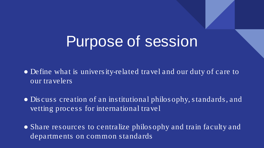## Purpose of session

• Define what is university-related travel and our duty of care to our travelers

● Dis cus s creation of an ins titutional philos ophy, s tandards , and vetting process for international travel

● Share res ources to centralize philos ophy and train faculty and departments on common standards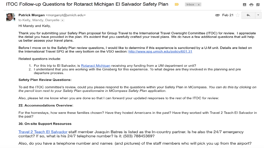$\epsilon$  Feb 21  $\bar{z}$ 



Patrick Morgan <morganpt@umich.edu> to Kelly, Mandy, Danyelle

HI Mandy and Kelly,

Thank you for submitting your Safety Plan proposal for Group Travel to the International Travel Oversight Committee (ITOC) for review. I appreciate the detail you have provided in the plan. It's evident that you carefully crafted your travel plans. We do have a few additional questions that will help us better assess your travel plans.

Before I move on to the Safety Plan review questions, I would like to determine if this experience is sanctioned by a U-M unit. Details are listed on the International Travel SPG at the very bottom on the VSO section: http://www.spg.umich.edu/policy/601.31

#### Related questions include:

- 1. For this trip to El Salvador, is Rotaract Michigan receiving any funding from a UM department or unit?
- 2. I understand that you are working with the Ginsberg for this experience. To what degree are they involved in the planning and pre departure process.

#### **Safety Plan Review Questions:**

To aid the ITOC committee's review, could you please respond to the questions within your Safety Plan in MCompass. You can do this by clicking on the pencil icon next to your Safety Plan questionnaire in MCompass Safety Plan application.

Also, please let me know when you are done so that I can forward your updated responses to the rest of the ITOC for review:

#### 22. Accommodations Overview:

For the homestays, how were these families chosen? Have they hosted Americans in the past? Have they worked with Travel 2 Teach El Salvador in the past?

#### 30. On-site Support Resources

Travel 2 Teach El Salvador staff member Joaquin Batres is listed as the In-country partner. Is he also the 24/7 emergency contact? If so, what is his 24/7 telephone number? Is it: (503) 78845369?

Also, do you have a telephone number and names (and pictures) of the staff members who will pick you up from the airport?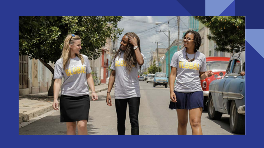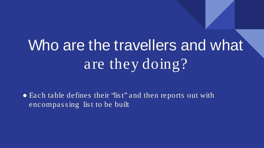# Who are the travellers and what are they doing?

• Each table defines their 'list' and then reports out with encompassing list to be built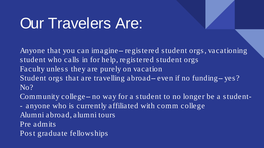## Our Travelers Are:

Anyone that you can imagine-registered student orgs, vacationing s tudent who calls in for help, regis tered s tudent orgs Faculty unles s they are purely on vacation Student orgs that are travelling abroad-even if no funding-yes? No?

Community college-- no way for a s tudent to no longer be a s tudent-

- anyone who is currently affiliated with comm college

- Alumni abroad, alumni tours
- Pre admits

Post graduate fellowships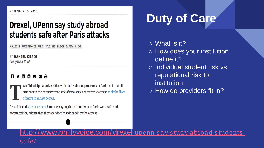### Drexel, UPenn say study abroad students safe after Paris attacks

COLLEGES PARIS ATTACKS PARIS STUDENTS DREXEL SAFETY UPENN

BY DANIEL CRAIG PhillyVoice Staff

### in  $\oplus$   $\odot$   $\sim$   $\oplus$

wo Philadelphia universities with study abroad programs in Paris said that all students in the country were safe after a series of terrorist attacks took the lives of more than 120 people.

Drexel issued a press release Saturday saying that all students in Paris were safe and accounted for, adding that they are "deeply saddened" by the attacks.

### **Duty of Care**

 $\circ$  What is it?

- How does your institution define it?
- Individual student risk vs. reputational risk to institution
- How do providers fit in?

<u>/www.phillyvoice.com/drexel-upenn-say-study-abroad-students-</u> safe/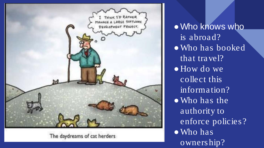

The daydreams of cat herders

●Who knows who is abroad? ●Who has booked that travel? ● How do we collect this information? ●Who has the authority to enforce policies ? ●Who has owners hip?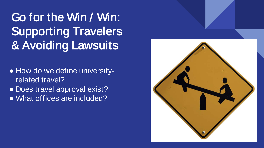Go for the Win / Win: Supporting Travelers & Avoiding Lawsuits

- How do we define universityrelated travel?
- Does travel approval exist?
- What offices are included?

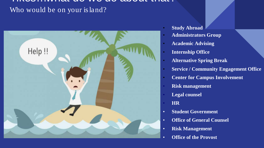#### $\mathcal{L}$ iliyetidi do we do about that .

### Who would be on your is land?



- **Study Abroad**
- **Administrators Group**
- **Academic Advising**
- **Internship Office**
- **Alternative Spring Break**
- **Service / Community Engagement Office**
- **Center for Campus Involvement**
- **Risk management**
- **Legal counsel**
- **HR**
- **Student Government**
- **Office of General Counsel**
- **Risk Management**
- **Office of the Provost**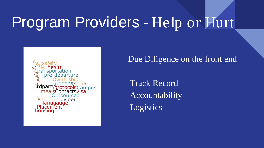## Program Providers - Help or Hurt

pre-depa άζ nnus mealsContactsvisa tsourced Vetting provider lanugauge Placement housinc

Due Diligence on the front end

Track Record Accountability **Logistics**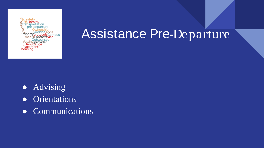healt isportation  $\widetilde{\mathfrak{g}}$ pre-departure 110ddns social 3rdpartyprotocolsCampus mealsContactsvisa Outsourced<br>Vetting provider lanugauge Placement<sup>®</sup><br>housing

## Assistance Pre-Departure

- Advising
- Orientations
- Communications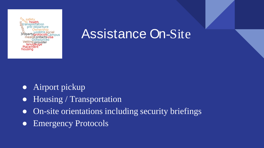Vetting provider anugauge Placement housing

## Assistance On-Site

- Airport pickup
- Housing / Transportation
- On-site orientations including security briefings
- Emergency Protocols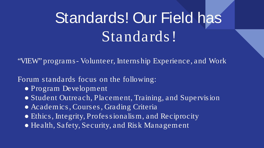# Standards! Our Field has Standards!

"VIEW" programs- Volunteer, Interns hip Experience, and Work

Forum standards focus on the following:

- Program Development
- Student Outreach, Placement, Training, and Supervis ion
- Academics , Cours es , Grading Criteria
- Ethics , Integrity, Profes s ionalis m, and Reciprocity
- Health, Safety, Security, and Ris k Management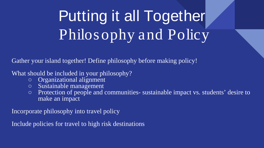# Putting it all Together Philos ophy and Policy

Gather your island together! Define philosophy before making policy!

What should be included in your philosophy?

- Organizational alignment
- Sustainable management
- Protection of people and communities- sustainable impact vs. students' desire to make an impact

Incorporate philosophy into travel policy

Include policies for travel to high risk destinations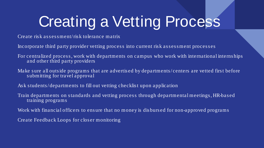# Creating a Vetting Process

Create risk assessment/ risk tolerance matrix

Incorporate third party provider vetting process into current risk assessment processes

For centralized process, work with departments on campus who work with international internships and other third party providers

Make sure all outside programs that are advertised by departments/ centers are vetted first before submitting for travel approval

Ask students/ departments to fill out vetting checklist upon application

Train departments on standards and vetting process through departmental meetings, HR-based training programs

Work with financial officers to ensure that no money is disbursed for non-approved programs

Create Feedback Loops for closer monitoring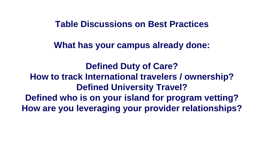### **Table Discussions on Best Practices**

**What has your campus already done:** 

**Defined Duty of Care? How to track International travelers / ownership? Defined University Travel? Defined who is on your island for program vetting? How are you leveraging your provider relationships?**